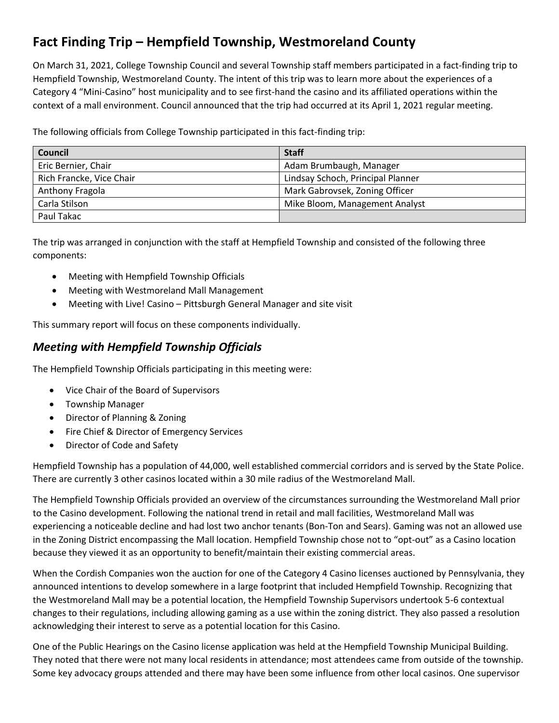## **Fact Finding Trip – Hempfield Township, Westmoreland County**

On March 31, 2021, College Township Council and several Township staff members participated in a fact-finding trip to Hempfield Township, Westmoreland County. The intent of this trip was to learn more about the experiences of a Category 4 "Mini-Casino" host municipality and to see first-hand the casino and its affiliated operations within the context of a mall environment. Council announced that the trip had occurred at its April 1, 2021 regular meeting.

The following officials from College Township participated in this fact-finding trip:

| Council                  | <b>Staff</b>                      |
|--------------------------|-----------------------------------|
| Eric Bernier, Chair      | Adam Brumbaugh, Manager           |
| Rich Francke, Vice Chair | Lindsay Schoch, Principal Planner |
| Anthony Fragola          | Mark Gabrovsek, Zoning Officer    |
| Carla Stilson            | Mike Bloom, Management Analyst    |
| Paul Takac               |                                   |

The trip was arranged in conjunction with the staff at Hempfield Township and consisted of the following three components:

- Meeting with Hempfield Township Officials
- Meeting with Westmoreland Mall Management
- Meeting with Live! Casino Pittsburgh General Manager and site visit

This summary report will focus on these components individually.

## *Meeting with Hempfield Township Officials*

The Hempfield Township Officials participating in this meeting were:

- Vice Chair of the Board of Supervisors
- Township Manager
- Director of Planning & Zoning
- Fire Chief & Director of Emergency Services
- Director of Code and Safety

Hempfield Township has a population of 44,000, well established commercial corridors and is served by the State Police. There are currently 3 other casinos located within a 30 mile radius of the Westmoreland Mall.

The Hempfield Township Officials provided an overview of the circumstances surrounding the Westmoreland Mall prior to the Casino development. Following the national trend in retail and mall facilities, Westmoreland Mall was experiencing a noticeable decline and had lost two anchor tenants (Bon-Ton and Sears). Gaming was not an allowed use in the Zoning District encompassing the Mall location. Hempfield Township chose not to "opt-out" as a Casino location because they viewed it as an opportunity to benefit/maintain their existing commercial areas.

When the Cordish Companies won the auction for one of the Category 4 Casino licenses auctioned by Pennsylvania, they announced intentions to develop somewhere in a large footprint that included Hempfield Township. Recognizing that the Westmoreland Mall may be a potential location, the Hempfield Township Supervisors undertook 5-6 contextual changes to their regulations, including allowing gaming as a use within the zoning district. They also passed a resolution acknowledging their interest to serve as a potential location for this Casino.

One of the Public Hearings on the Casino license application was held at the Hempfield Township Municipal Building. They noted that there were not many local residents in attendance; most attendees came from outside of the township. Some key advocacy groups attended and there may have been some influence from other local casinos. One supervisor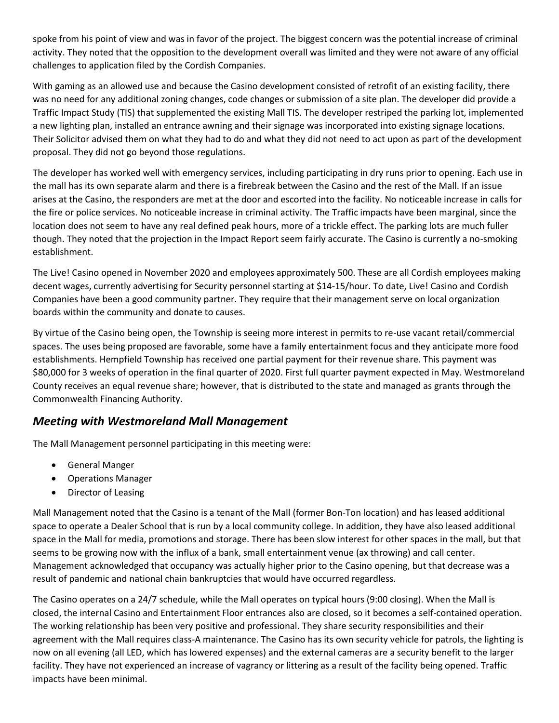spoke from his point of view and was in favor of the project. The biggest concern was the potential increase of criminal activity. They noted that the opposition to the development overall was limited and they were not aware of any official challenges to application filed by the Cordish Companies.

With gaming as an allowed use and because the Casino development consisted of retrofit of an existing facility, there was no need for any additional zoning changes, code changes or submission of a site plan. The developer did provide a Traffic Impact Study (TIS) that supplemented the existing Mall TIS. The developer restriped the parking lot, implemented a new lighting plan, installed an entrance awning and their signage was incorporated into existing signage locations. Their Solicitor advised them on what they had to do and what they did not need to act upon as part of the development proposal. They did not go beyond those regulations.

The developer has worked well with emergency services, including participating in dry runs prior to opening. Each use in the mall has its own separate alarm and there is a firebreak between the Casino and the rest of the Mall. If an issue arises at the Casino, the responders are met at the door and escorted into the facility. No noticeable increase in calls for the fire or police services. No noticeable increase in criminal activity. The Traffic impacts have been marginal, since the location does not seem to have any real defined peak hours, more of a trickle effect. The parking lots are much fuller though. They noted that the projection in the Impact Report seem fairly accurate. The Casino is currently a no-smoking establishment.

The Live! Casino opened in November 2020 and employees approximately 500. These are all Cordish employees making decent wages, currently advertising for Security personnel starting at \$14-15/hour. To date, Live! Casino and Cordish Companies have been a good community partner. They require that their management serve on local organization boards within the community and donate to causes.

By virtue of the Casino being open, the Township is seeing more interest in permits to re-use vacant retail/commercial spaces. The uses being proposed are favorable, some have a family entertainment focus and they anticipate more food establishments. Hempfield Township has received one partial payment for their revenue share. This payment was \$80,000 for 3 weeks of operation in the final quarter of 2020. First full quarter payment expected in May. Westmoreland County receives an equal revenue share; however, that is distributed to the state and managed as grants through the Commonwealth Financing Authority.

## *Meeting with Westmoreland Mall Management*

The Mall Management personnel participating in this meeting were:

- **•** General Manger
- Operations Manager
- Director of Leasing

Mall Management noted that the Casino is a tenant of the Mall (former Bon-Ton location) and has leased additional space to operate a Dealer School that is run by a local community college. In addition, they have also leased additional space in the Mall for media, promotions and storage. There has been slow interest for other spaces in the mall, but that seems to be growing now with the influx of a bank, small entertainment venue (ax throwing) and call center. Management acknowledged that occupancy was actually higher prior to the Casino opening, but that decrease was a result of pandemic and national chain bankruptcies that would have occurred regardless.

The Casino operates on a 24/7 schedule, while the Mall operates on typical hours (9:00 closing). When the Mall is closed, the internal Casino and Entertainment Floor entrances also are closed, so it becomes a self-contained operation. The working relationship has been very positive and professional. They share security responsibilities and their agreement with the Mall requires class-A maintenance. The Casino has its own security vehicle for patrols, the lighting is now on all evening (all LED, which has lowered expenses) and the external cameras are a security benefit to the larger facility. They have not experienced an increase of vagrancy or littering as a result of the facility being opened. Traffic impacts have been minimal.